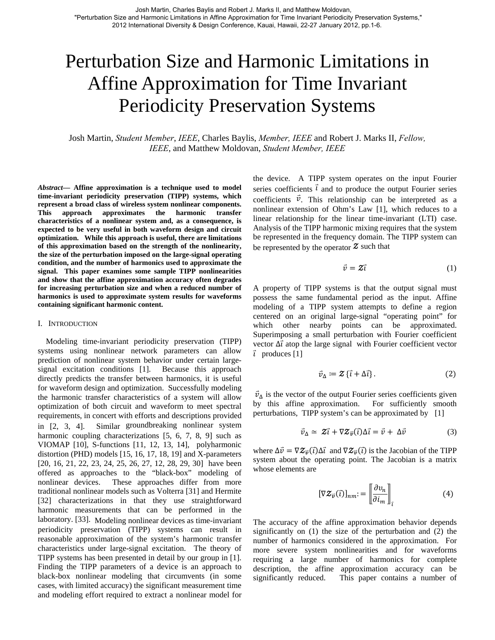# Perturbation Size and Harmonic Limitations in Affine Approximation for Time Invariant Periodicity Preservation Systems

Josh Martin, *Student Member*, *IEEE*, Charles Baylis, *Member, IEEE* and Robert J. Marks II, *Fellow, IEEE*, and Matthew Moldovan, *Student Member, IEEE*

*Abstract***— Affine approximation is a technique used to model time-invariant periodicity preservation (TIPP) systems, which represent a broad class of wireless system nonlinear components. This approach approximates the harmonic transfer characteristics of a nonlinear system and, as a consequence, is expected to be very useful in both waveform design and circuit optimization. While this approach is useful, there are limitations of this approximation based on the strength of the nonlinearity, the size of the perturbation imposed on the large-signal operating condition, and the number of harmonics used to approximate the signal. This paper examines some sample TIPP nonlinearities and show that the affine approximation accuracy often degrades for increasing perturbation size and when a reduced number of harmonics is used to approximate system results for waveforms containing significant harmonic content.** 

#### I. INTRODUCTION

Modeling time-invariant periodicity preservation (TIPP) systems using nonlinear network parameters can allow prediction of nonlinear system behavior under certain largesignal excitation conditions [1]. Because this approach directly predicts the transfer between harmonics, it is useful for waveform design and optimization. Successfully modeling the harmonic transfer characteristics of a system will allow optimization of both circuit and waveform to meet spectral requirements, in concert with efforts and descriptions provided in [2, 3, 4]. Similar groundbreaking nonlinear system harmonic coupling characterizations [\[5](#page-3-0), [6](#page-3-1), [7,](#page-3-2) [8,](#page-3-3) [9](#page-3-4)] such as VIOMAP [\[10\]](#page-3-5), S-functions [\[11](#page-3-6), [12,](#page-3-7) [13,](#page-3-8) [14\]](#page-3-9), polyharmonic distortion (PHD) models [[15,](#page-3-10) [16,](#page-3-11) [17,](#page-3-12) [18,](#page-4-0) [19\]](#page-4-1) and X-parameters [\[20](#page-4-2), [16,](#page-3-11) [21,](#page-4-3) [22](#page-4-4), 23, [24](#page-4-5), [25](#page-4-6), [26,](#page-4-7) [27,](#page-4-8) [12](#page-3-7), [28,](#page-4-9) [29,](#page-4-10) [30](#page-4-11)] have been offered as approaches to the "black-box" modeling of nonlinear devices. These approaches differ from more traditional nonlinear models such as Volterra [\[31](#page-4-12)] and Hermite [\[32](#page-4-13)] characterizations in that they use straightforward harmonic measurements that can be performed in the laboratory. [33]. Modeling nonlinear devices as time-invariant periodicity preservation (TIPP) systems can result in reasonable approximation of the system's harmonic transfer characteristics under large-signal excitation. The theory of TIPP systems has been presented in detail by our group in [1]. Finding the TIPP parameters of a device is an approach to black-box nonlinear modeling that circumvents (in some cases, with limited accuracy) the significant measurement time and modeling effort required to extract a nonlinear model for

the device. A TIPP system operates on the input Fourier series coefficients  $\overline{\iota}$  and to produce the output Fourier series coefficients  $\vec{v}$ . This relationship can be interpreted as a nonlinear extension of Ohm's Law [1], which reduces to a linear relationship for the linear time-invariant (LTI) case. Analysis of the TIPP harmonic mixing requires that the system be represented in the frequency domain. The TIPP system can be represented by the operator  $\mathcal Z$  such that

$$
\vec{v} = \mathbf{Z}\vec{\imath} \tag{1}
$$

 $\vec{i}$  produces [1] A property of TIPP systems is that the output signal must possess the same fundamental period as the input. Affine modeling of a TIPP system attempts to define a region centered on an original large-signal "operating point" for which other nearby points can be approximated. Superimposing a small perturbation with Fourier coefficient vector  $\Delta \vec{l}$  atop the large signal with Fourier coefficient vector

$$
\vec{v}_{\Delta} := \mathcal{Z} \{ \vec{\iota} + \Delta \vec{\iota} \} . \tag{2}
$$

 $\vec{v}_{\Delta}$  is the vector of the output Fourier series coefficients given by this affine approximation. For sufficiently smooth perturbations, TIPP system's can be approximated by [1]

$$
\vec{v}_{\Delta} \simeq 2\vec{\imath} + \nabla Z_{\vec{v}}(\vec{\imath}) \Delta \vec{\imath} = \vec{v} + \Delta \vec{v}
$$
 (3)

where  $\Delta \vec{v} = \nabla \mathcal{Z}_{\vec{v}}(\vec{\iota}) \Delta \vec{\iota}$  and  $\nabla \mathcal{Z}_{\vec{v}}(\vec{\iota})$  is the Jacobian of the TIPP system about the operating point. The Jacobian is a matrix whose elements are

$$
[\nabla \mathcal{Z}_{\vec{v}}(\vec{\iota})]_{nm} = \left[\frac{\partial v_n}{\partial i_m}\right]_{\vec{\iota}}
$$
(4)

The accuracy of the affine approximation behavior depends significantly on (1) the size of the perturbation and (2) the number of harmonics considered in the approximation. For more severe system nonlinearities and for waveforms requiring a large number of harmonics for complete description, the affine approximation accuracy can be significantly reduced. This paper contains a number of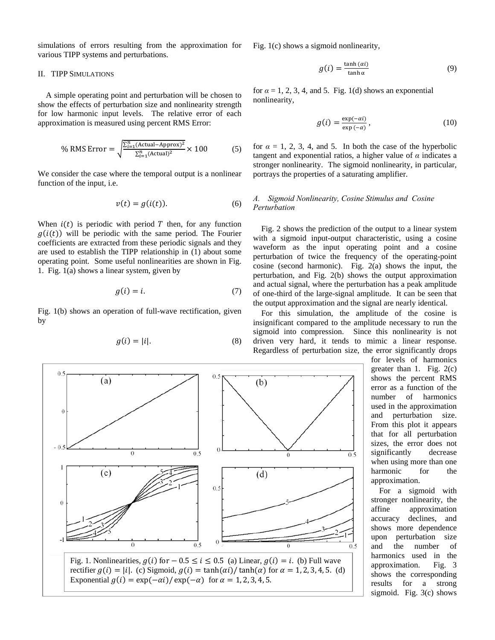simulations of errors resulting from the approximation for various TIPP systems and perturbations.

#### II. TIPP SIMULATIONS

A simple operating point and perturbation will be chosen to show the effects of perturbation size and nonlinearity strength for low harmonic input levels. The relative error of each approximation is measured using percent RMS Error:

% RMS Error = 
$$
\sqrt{\frac{\sum_{i=1}^{n} (Actual - Approx)^2}{\sum_{i=1}^{n} (Actual)^2}} \times 100
$$
 (5)

We consider the case where the temporal output is a nonlinear function of the input, i.e.

$$
v(t) = g(i(t)).\tag{6}
$$

When  $i(t)$  is periodic with period T then, for any function  $g(i(t))$  will be periodic with the same period. The Fourier coefficients are extracted from these periodic signals and they are used to establish the TIPP relationship in (1) about some operating point. Some useful nonlinearities are shown in Fig. 1. Fig. 1(a) shows a linear system, given by

$$
g(i) = i. \tag{7}
$$

Fig. 1(b) shows an operation of full-wave rectification, given by

$$
g(i) = |i|.\tag{8}
$$

Fig. 1(c) shows a sigmoid nonlinearity,

$$
g(i) = \frac{\tanh(\alpha i)}{\tanh \alpha} \tag{9}
$$

for  $\alpha = 1, 2, 3, 4$ , and 5. Fig. 1(d) shows an exponential nonlinearity,

$$
g(i) = \frac{\exp(-\alpha i)}{\exp(-\alpha)},
$$
\n(10)

for  $\alpha = 1, 2, 3, 4$ , and 5. In both the case of the hyperbolic tangent and exponential ratios, a higher value of  $\alpha$  indicates a stronger nonlinearity. The sigmoid nonlinearity, in particular, portrays the properties of a saturating amplifier.

## *A. Sigmoid Nonlinearity, Cosine Stimulus and Cosine Perturbation*

Fig. 2 shows the prediction of the output to a linear system with a sigmoid input-output characteristic, using a cosine waveform as the input operating point and a cosine perturbation of twice the frequency of the operating-point cosine (second harmonic). Fig. 2(a) shows the input, the perturbation, and Fig. 2(b) shows the output approximation and actual signal, where the perturbation has a peak amplitude of one-third of the large-signal amplitude. It can be seen that the output approximation and the signal are nearly identical.

For this simulation, the amplitude of the cosine is insignificant compared to the amplitude necessary to run the sigmoid into compression. Since this nonlinearity is not driven very hard, it tends to mimic a linear response. Regardless of perturbation size, the error significantly drops

> for levels of harmonics greater than 1. Fig.  $2(c)$ shows the percent RMS error as a function of the number of harmonics used in the approximation and perturbation size. From this plot it appears that for all perturbation sizes, the error does not significantly decrease when using more than one harmonic for the approximation.

> For a sigmoid with stronger nonlinearity, the affine approximation accuracy declines, and shows more dependence upon perturbation size and the number of harmonics used in the approximation. Fig. 3 shows the corresponding results for a strong sigmoid. Fig. 3(c) shows

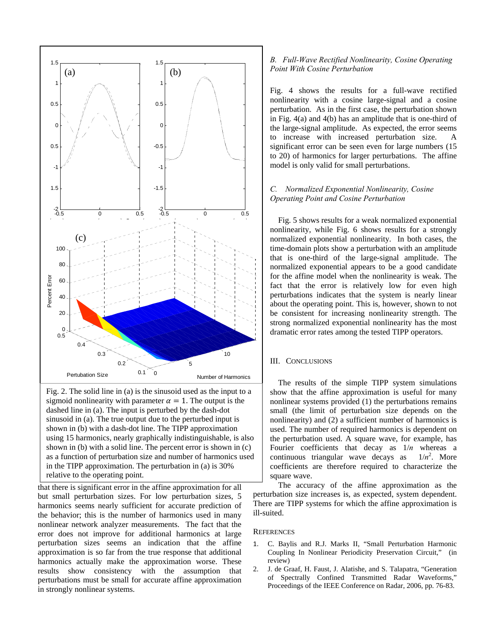

Fig. 2. The solid line in (a) is the sinusoid used as the input to a sigmoid nonlinearity with parameter  $\alpha = 1$ . The output is the dashed line in (a). The input is perturbed by the dash-dot sinusoid in (a). The true output due to the perturbed input is shown in (b) with a dash-dot line. The TIPP approximation using 15 harmonics, nearly graphically indistinguishable, is also shown in (b) with a solid line. The percent error is shown in (c) as a function of perturbation size and number of harmonics used in the TIPP approximation. The perturbation in (a) is 30% relative to the o perating point.

that there is significant error in the affine approximation for all but small perturbation sizes. For low perturbation sizes, 5 harmonics seems nearly sufficient for accurate prediction of the behavior; this is the number of harmonics used in many nonlinear network analyzer measurements. The fact that the error does not improve for additional harmonics at large perturbation sizes seems an indication that the affine approximation is so far from the true response that additional harmonics actually make the approximation worse. These results show consistency with the assumption that perturbations must be small for accurate affine approximation in strongly nonlinear systems.

# *B. Full-Wave Rectified Nonlinearity, Cosine Operating Point With Cosine Perturbation*

Fig. 4 shows the results for a full-wave rectified nonlinearity with a cosine large-signal and a cosine perturbation. As in the first case, the perturbation shown in Fig. 4(a) and 4(b) has an amplitude that is one-third of the large-signal amplitude. As expected, the error seems to increase with increased perturbation size. A significant error can be seen even for large numbers (15 to 20) of harmonics for larger perturbations. The affine model is only valid for small perturbations.

# *C. Normalized Exponential Nonlinearity, Cosine Operating Point and Cosine Perturbation*

Fig. 5 shows results for a weak normalized exponential nonlinearity, while Fig. 6 shows results for a strongly normalized exponential nonlinearity. In both cases, the time-domain plots show a perturbation with an amplitude that is one-third of the large-signal amplitude. The normalized exponential appears to be a good candidate for the affine model when the nonlinearity is weak. The fact that the error is relatively low for even high perturbations indicates that the system is nearly linear about the operating point. This is, however, shown to not be consistent for increasing nonlinearity strength. The strong normalized exponential nonlinearity has the most dramatic error rates among the tested TIPP operators.

## III. CONCLUSIONS

The results of the simple TIPP system simulations show that the affine approximation is useful for many nonlinear systems provided (1) the perturbations remains small (the limit of perturbation size depends on the nonlinearity) and (2) a sufficient number of harmonics is used. The number of required harmonics is dependent on the perturbation used. A square wave, for example, has Fourier coefficients that decay as 1/*n* whereas a continuous triangular wave decays as  $1/n^2$ . More coefficients are therefore required to characterize the square wave.

The accuracy of the affine approximation as the perturbation size increases is, as expected, system dependent. There are TIPP systems for which the affine approximation is ill-suited.

## **REFERENCES**

- 1. C. Baylis and R.J. Marks II, "Small Perturbation Harmonic Coupling In Nonlinear Periodicity Preservation Circuit," (in review)
- 2. J. de Graaf, H. Faust, J. Alatishe, and S. Talapatra, "Generation of Spectrally Confined Transmitted Radar Waveforms," Proceedings of the IEEE Conference on Radar, 2006, pp. 76-83.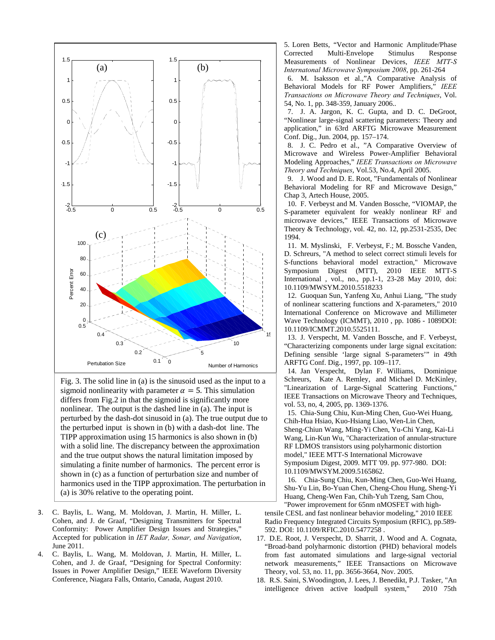<span id="page-3-5"></span><span id="page-3-4"></span><span id="page-3-3"></span><span id="page-3-2"></span><span id="page-3-1"></span>

<span id="page-3-10"></span><span id="page-3-9"></span><span id="page-3-8"></span><span id="page-3-7"></span><span id="page-3-6"></span>Fig. 3. The solid line in (a) is the sinusoid used as the input to a sigmoid nonlinearity with parameter  $\alpha = 5$ . This simulation differs from Fig.2 in that the sigmoid is significantly more nonlinear. The output is the dashed line in (a). The input is perturbed by the dash-dot sinusoid in (a). The true output due t o the perturbed input is shown in (b) with a dash-dot line. The TIPP approximation using 15 harmonics is also shown in (b ) with a solid line. The discrepancy between the approximation and the true output shows the natural limitation imposed by simulating a finite number of harmonics. The percent error is shown in (c) as a function of perturbation size and number of harmonics used in the TIPP approximation. The perturbation i n (a) is 30% relative to the operating point.

- <span id="page-3-11"></span>3. C. Baylis, L. Wang, M. Moldovan, J. Martin, H. Miller, L. Cohen, and J. de Graaf, "Designing Transmitters for Spectral Conformity: Power Amplifier Design Issues and Strategies," Accepted for publication in *IET Radar, Sonar, and Navigation*, June 2011.
- <span id="page-3-12"></span><span id="page-3-0"></span>4. C. Baylis, L. Wang, M. Moldovan, J. Martin, H. Miller, L. Cohen, and J. de Graaf, "Designing for Spectral Conformity: Issues in Power Amplifier Design," IEEE Waveform Diversity Conference, Niagara Falls, Ontario, Canada, August 2010.

5. Loren Betts, "Vector and Harmonic Amplitude/Phase Corrected Multi-Envelope Stimulus Response Measurements of Nonlinear Devices, *IEEE MTT-S Internatonal Microwave Symposium 2008*, pp. 261-264

6. M. Isaksson et al.,"A Comparative Analysis of Behavioral Models for RF Power Amplifiers," *IEEE Transactions on Microwave Theory and Techniques*, Vol. 54, No. 1, pp. 348-359, January 2006..

7. J. A. Jargon, K. C. Gupta, and D. C. DeGroot, "Nonlinear large-signal scattering parameters: Theory and application," in 63rd ARFTG Microwave Measurement Conf. Dig., Jun. 2004, pp. 157–174.

8. J. C. Pedro et al., "A Comparative Overview of Microwave and Wireless Power-Amplifier Behavioral Modeling Approaches," *IEEE Transactions on Microwave Theory and Techniques*, Vol.53, No.4, April 2005.

Behavioral Modeling for RF and Microwave Design," 9. J. Wood and D. E. Root, "Fundamentals of Nonlinear Chap 3, Artech House, 2005.

S-parameter equivalent for weakly nonlinear RF and 10. F. Verbeyst and M. Vanden Bossche, "VIOMAP, the microwave devices," IEEE Transactions of Microwave Theory & Technology, vol. 42, no. 12, pp.2531-2535, Dec 1994.

D. Schreurs, "A method to select correct stimuli levels for 11. M. Myslinski, F. Verbeyst, F.; M. Bossche Vanden, S-functions behavioral model extraction," Microwave Symposium Digest (MTT), 2010 IEEE MTT-S International , vol., no., pp.1-1, 23-28 May 2010, doi: 10.1109/MWSYM.2010.5518233

of nonlinear scattering functions and X-parameters," 2010 12. Guoquan Sun, Yanfeng Xu, Anhui Liang, "The study International Conference on Microwave and Millimeter Wave Technology (ICMMT), 2010 , pp. 1086 - 1089DOI: 10.1109/ICMMT.2010.5525111.

"Characterizing components under large signal excitation: 13. J. Verspecht, M. Vanden Bossche, and F. Verbeyst, Defining sensible 'large signal S-parameters'" in 49th ARFTG Conf. Dig., 1997, pp. 109–117.

"Linearization of Large-Signal Scattering Functions," IE EE Transactions on Microwave Theory and Techniques, 14. Jan Verspecht, Dylan F. Williams, Dominique Schreurs, Kate A. Remley, and Michael D. McKinley, vol. 53, no, 4, 2005, pp. 1369-1376.

Symposium Digest, 2009. MTT '09. pp. 977-980. DOI: Wang, Lin-Kun Wu, "Characterization of annular-structure RF LDMOS transistors using polyharmonic distortion model," IEEE MTT-S International Microwave 10.1109/MWSYM.2009.5165862. 15. Chia-Sung Chiu, Kun-Ming Chen, Guo-Wei Huang, Chih-Hua Hsiao, Kuo-Hsiang Liao, Wen-Lin Chen, Sheng-Chiun Wang, Ming-Yi Chen, Yu-Chi Yang, Kai-Li

16. Chia-Sung Chiu, Kun-Ming Chen, Guo-Wei Huang, Shu-Yu Lin, Bo-Yuan Chen, Cheng-Chou Hung, Sheng-Yi Huang, Cheng-Wen Fan, Chih-Yuh Tzeng, Sam Chou, "Power improvement for 65nm nMOSFET with high-

Radio Frequency Integrated Circuits Symposium (RFIC), pp.589tensile CESL and fast nonlinear behavior modeling," 2010 IEEE 592. DOI: 10.1109/RFIC.2010.5477258 .

- 17. D.E. Root, J. Verspecht, D. Sharrit, J. Wood and A. Cognata, from fast automated simulations and large-signal vectorial network measurements," IEEE Transactions on Microwave "Broad-band polyharmonic distortion (PHD) behavioral models Theory, vol. 53, no. 11, pp. 3656-3664, Nov. 2005.
- 18. R.S. Saini, S.Woodington, J. Lees, J. Benedikt, P.J. Tasker, "An intelligence driven active loadpull system," 2010 75th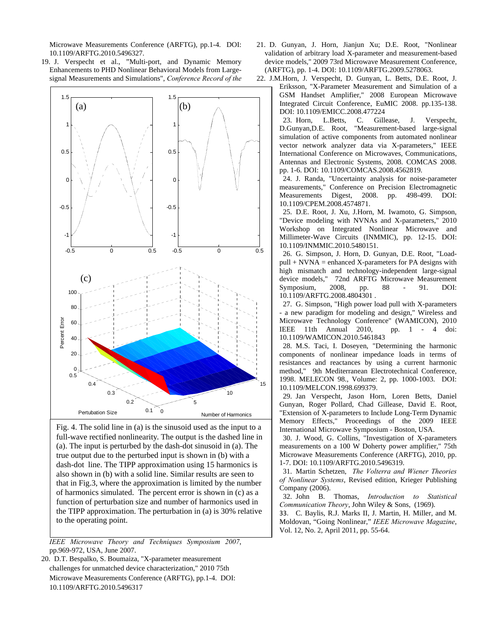Microwave Measurements Conference (ARFTG), pp.1-4. DOI: 10.1109/ARFTG.2010.5496327.

<span id="page-4-4"></span><span id="page-4-3"></span><span id="page-4-1"></span>19. J. Verspecht et al., "Multi-port, and Dynamic Memory Enhancements to PHD Nonlinear Behavioral Models from Largesignal Measurements and Simulations", *Conference Record of the* 

<span id="page-4-7"></span><span id="page-4-6"></span><span id="page-4-5"></span>

<span id="page-4-12"></span><span id="page-4-11"></span><span id="page-4-10"></span><span id="page-4-9"></span><span id="page-4-8"></span>Fig. 4. The solid line in (a) is the sinusoid used as the input t o a full-wave rectified nonlinearity. The output is the dashed line in (a). The input is perturbed by the dash-dot sinusoid in (a). The true output due to the perturbed input is shown in (b) with a dash-dot line. The TIPP approximation using 15 harmonics is also shown in (b) with a solid line. Similar results are seen to that in Fig.3, where the approximation is limited by the num ber of harmonics simulated. The percent error is shown in (c) as a function of perturbation size and number of harmonics used in the TIPP approximation. The perturbation in (a) is 30% relativ e to the operating point.

<span id="page-4-13"></span>*IEEE Microwave Theory and Techniques Symposium 2007*, pp.969-972, USA, June 2007.

<span id="page-4-2"></span><span id="page-4-0"></span>20. D.T. Bespalko, S. Boumaiza, "X-parameter measurement challenges for unmatched device characterization," 2010 75th Microwave Measurements Conference (ARFTG), pp.1-4. DOI: 1 .1 0 109/ARFTG.2010.5496317

- 21. D. Gunyan, J. Horn, Jianjun Xu; D.E. Root, "Nonlin ear validation of arbitrary load X-parameter and measurement-based device models," 2009 73rd Micro wave Measurement Conference, (ARFTG), pp. 1-4. DOI: 10.1109/ARFTG.2009.5278063.
- 22. J.M.Horn, J. Verspecht, D. Gunyan, L. Betts, D.E. Root, J.

Eriksson, "X-Parameter Measurement and Simulation of a GSM Handset Amplifier," 2008 European Microwave Integrated Circuit Conference, EuMIC 2008. pp.135-138. DOI: 10.1109/EMICC.2008.477224

23. Horn, L.Betts, C. Gillease, J. Verspecht, D.Gunyan,D.E. Root, "Measurement-based large-signal simulation of active components from automated nonlinear vector network analyzer data via X-parameters," IEEE International Conference on Microwaves, Communications, Antennas and Electronic Systems, 2008. COMCAS 2008. pp. 1-6. DOI: 10.1109/COMCAS.2008.4562819.

24. J. Randa, "Uncertainty analysis for noise-parameter measurements," Conference on Precision Electromagnetic Measurements Digest, 2008. pp. 498-499. DOI: 10.1109/CPEM.2008.4574871.

25. D.E. Root, J. Xu, J.Horn, M. Iwamoto, G. Simpson, "Device modeling with NVNAs and X-parameters," 2010 Workshop on Integrated Nonlinear Microwave and Millimeter-Wave Circuits (INMMIC), pp. 12-15. DOI: 10.1109/INMMIC.2010.5480151.

26. G. Simpson, J. Horn, D. Gunyan, D.E. Root, "Load $pull + N VNA = enhanced X-parameter of PA designs with$ high mismatch and technology-independent large-signal device models," 72nd ARFTG Microwave Measurement Symposium, 2008, pp. 88 - 91. DOI: 10.1109/ARFTG.2008.4804301 .

27. G. Simpson, "High power load pull with X-parameters - a new paradigm for modeling and design," Wireless and Microwave Technology Conference" (WAMICON), 2010<br>IEEE 11th Annual 2010, pp. 1 - 4 doi: IEEE 11th Annual 2010, 10.1109/WAMICON.2010.5461843

28. M.S. Taci, I. Doseyen, "Determining the harmonic components of nonlinear impedance loads in terms of resistances and reactances by using a current harmonic method," 9th Mediterranean Electrotechnical Conference, 1998. MELECON 98., Volume: 2, pp. 1000-1003. DOI: 10.1109/MELCON.1998.699379.

29. Jan Verspecht, Jason Horn, Loren Betts, Daniel Gunyan, Roger Pollard, Chad Gillease, David E. Root, "Extension of X-parameters to Include Long-Term Dynamic Memory Effects," Proceedings of the 2009 IEEE International Microwave Symposium - Boston, USA.

30. J. Wood, G. Collins, "Investigation of X-parameters measurements on a 100 W Doherty power amplifier," 75th Microwave Measurements Conference (ARFTG), 2010, pp. 1-7. DOI: 10.1109/ARFTG.2010.5496319.

31. Martin Schetzen, *The Volterra and Wiener Theories of Nonlinear Systems*, Revised edition, Krieger Publishing Company (2006).

32. John B. Thomas, *Introduction to Statistical Communication Theory*, John Wiley & Sons, (1969).

33. C. Baylis, R.J. Marks II, J. Martin, H. Miller, and M. Moldovan, "Going Nonlinear," *IEEE Microwave Magazine*, Vol. 12, No. 2, April 2011, pp. 55-64.